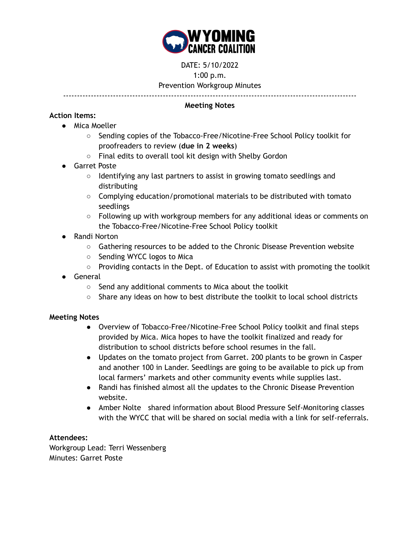

DATE: 5/10/2022

1:00 p.m.

Prevention Workgroup Minutes

----------------------------------------------------------------------------------------------------------

## **Meeting Notes**

## **Action Items:**

- Mica Moeller
	- Sending copies of the Tobacco-Free/Nicotine-Free School Policy toolkit for proofreaders to review (**due in 2 weeks**)
	- Final edits to overall tool kit design with Shelby Gordon
- Garret Poste
	- Identifying any last partners to assist in growing tomato seedlings and distributing
	- $\circ$  Complying education/promotional materials to be distributed with tomato seedlings
	- $\circ$  Following up with workgroup members for any additional ideas or comments on the Tobacco-Free/Nicotine-Free School Policy toolkit
- Randi Norton
	- Gathering resources to be added to the Chronic Disease Prevention website
	- Sending WYCC logos to Mica
	- Providing contacts in the Dept. of Education to assist with promoting the toolkit
- General
	- Send any additional comments to Mica about the toolkit
	- $\circ$  Share any ideas on how to best distribute the toolkit to local school districts

# **Meeting Notes**

- Overview of Tobacco-Free/Nicotine-Free School Policy toolkit and final steps provided by Mica. Mica hopes to have the toolkit finalized and ready for distribution to school districts before school resumes in the fall.
- Updates on the tomato project from Garret. 200 plants to be grown in Casper and another 100 in Lander. Seedlings are going to be available to pick up from local farmers' markets and other community events while supplies last.
- Randi has finished almost all the updates to the Chronic Disease Prevention website.
- Amber Nolte shared information about Blood Pressure Self-Monitoring classes with the WYCC that will be shared on social media with a link for self-referrals.

# **Attendees:**

Workgroup Lead: Terri Wessenberg Minutes: Garret Poste